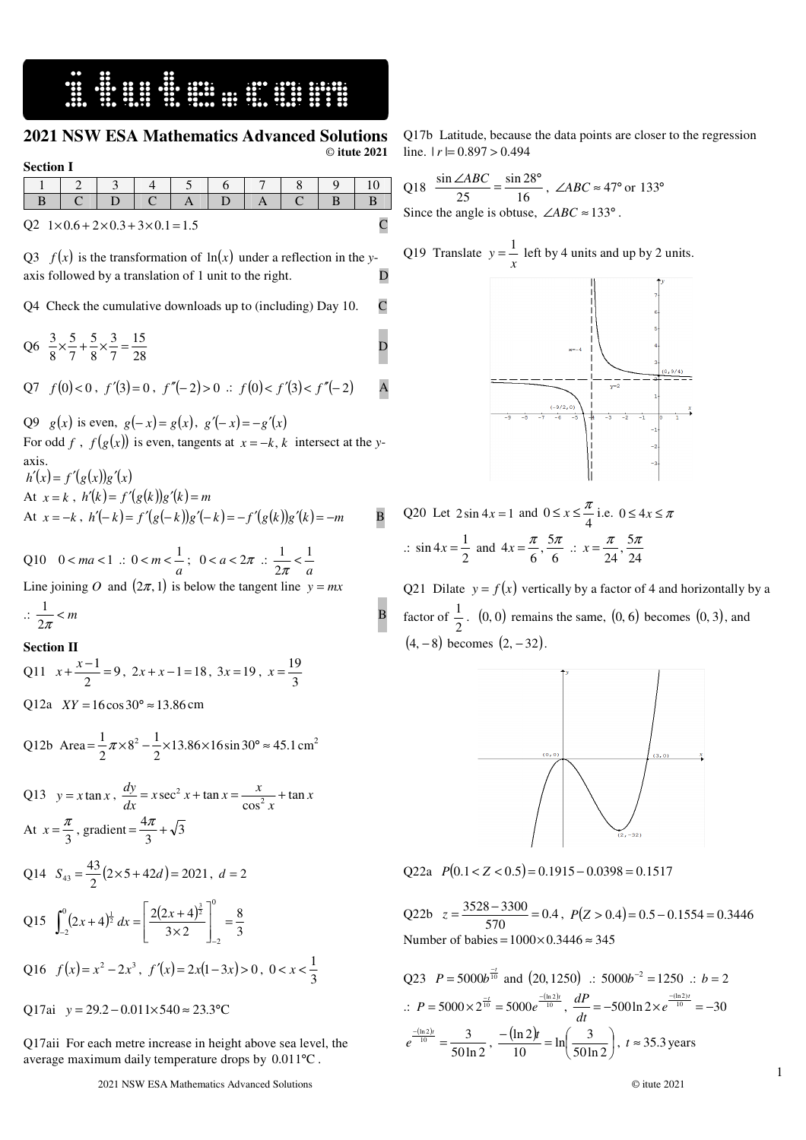## **2021 NSW ESA Mathematics Advanced Solutions** © **itute 2021**

**Section I**

| Q2 $1 \times 0.6 + 2 \times 0.3 + 3 \times 0.1 = 1.5$ |  |  |  |  |  |  |  |  |  |
|-------------------------------------------------------|--|--|--|--|--|--|--|--|--|

Q3  $f(x)$  is the transformation of  $ln(x)$  under a reflection in the *y*axis followed by a translation of 1 unit to the right.

Q4 Check the cumulative downloads up to (including) Day 10. C

Q6  $\frac{3}{8} \times \frac{3}{7} + \frac{3}{8} \times \frac{5}{7} = \frac{15}{28}$ 15 7 3 8 5 7 5 8  $\frac{3}{8} \times \frac{5}{8} + \frac{5}{8} \times \frac{3}{8} = \frac{15}{28}$ 

$$
Q7 \quad f(0) < 0 \,, \ f'(3) = 0 \,, \ f''(-2) > 0 \, \therefore \, f(0) < f'(3) < f''(-2) \qquad A
$$

Q9 *g*(*x*) is even,  $g(-x) = g(x)$ ,  $g'(-x) = -g'(x)$ For odd *f* ,  $f(g(x))$  is even, tangents at  $x = -k$ , *k* intersect at the *y*axis.

 $h'(x) = f'(g(x))g'(x)$ At  $x = k$ ,  $h'(k) = f'(g(k))g'(k) = m$ At  $x = -k$ ,  $h'(-k) = f'(g(-k))g'(-k) = -f'(g(k))g'(k) = -m$  B

Q10  $0 < ma < 1$  :  $0 < m < \frac{1}{a}$ ;  $0 < a < 2\pi$  :  $\frac{1}{2\pi} < \frac{1}{a}$ 1 2  $\frac{1}{2\pi}$ Line joining *O* and  $(2\pi, 1)$  is below the tangent line  $y = mx$  $\therefore \frac{1}{2\pi} < m$ 1 B

## **Section II**

Q11 
$$
x + \frac{x-1}{2} = 9
$$
,  $2x + x - 1 = 18$ ,  $3x = 19$ ,  $x = \frac{19}{3}$ 

Q12a  $XY = 16 \cos 30^{\circ} \approx 13.86$  cm

Q12b Area = 
$$
\frac{1}{2}\pi \times 8^2 - \frac{1}{2} \times 13.86 \times 16 \sin 30^\circ \approx 45.1 \text{ cm}^2
$$

Q13 
$$
y = x \tan x
$$
,  $\frac{dy}{dx} = x \sec^2 x + \tan x = \frac{x}{\cos^2 x} + \tan x$   
\nAt  $x = \frac{\pi}{3}$ , gradient  $= \frac{4\pi}{3} + \sqrt{3}$   
\nQ14  $S_{43} = \frac{43}{2} (2 \times 5 + 42d) = 2021$ ,  $d = 2$   
\nQ15  $\int_{-2}^{0} (2x + 4)^{\frac{1}{2}} dx = \left[ \frac{2(2x + 4)^{\frac{3}{2}}}{3 \times 2} \right]_{-2}^{0} = \frac{8}{3}$   
\nQ16  $f(x) = x^2 - 2x^3$ ,  $f'(x) = 2x(1 - 3x) > 0$ ,  $0 < x < \frac{1}{3}$   
\nQ17ai  $y = 29.2 - 0.011 \times 540 \approx 23.3$ °C

Q17aii For each metre increase in height above sea level, the

average maximum daily temperature drops by  $0.011$ °C.

Q17b Latitude, because the data points are closer to the regression line.  $|r| = 0.897 > 0.494$ 

Q18  $\frac{\sin 2\pi b}{25} = \frac{\sin 2\pi}{16}$ sin 28 25  $\frac{\sin \angle ABC}{\cos \angle A} = \frac{\sin 28^{\circ}}{46}$ ,  $\angle ABC \approx 47^{\circ}$  or 133° Since the angle is obtuse,  $\angle ABC \approx 133^\circ$ .

 $\overline{a}$ 

Q19 Translate 
$$
y = \frac{1}{x}
$$
 left by 4 units and up by 2 units.



Q20 Let  $2\sin 4x = 1$  and  $0 \le x \le \frac{\pi}{4}$  i.e.  $0 \le 4x \le \pi$  $\therefore$  sin 4x =  $\frac{1}{2}$  $\sin 4x = \frac{1}{2}$  and  $4x = \frac{\pi}{6}, \frac{5\pi}{6}$  $4x = \frac{\pi}{6}, \frac{5\pi}{6}$  :  $x = \frac{\pi}{24}, \frac{5\pi}{24}$  $\frac{\pi}{24}, \frac{5}{2}$  $x = \frac{\pi}{24}, \frac{5\pi}{34}$ 

Q21 Dilate  $y = f(x)$  vertically by a factor of 4 and horizontally by a factor of  $\frac{1}{2}$  $\frac{1}{6}$ . (0, 0) remains the same, (0, 6) becomes (0, 3), and  $(4, -8)$  becomes  $(2, -32)$ .



 $Q22a \quad P(0.1 < Z < 0.5) = 0.1915 - 0.0398 = 0.1517$ 

Q22b  $z = \frac{5526}{570} = 0.4$  $z = \frac{3528 - 3300}{720} = 0.4$ ,  $P(Z > 0.4) = 0.5 - 0.1554 = 0.3446$ Number of babies =  $1000 \times 0.3446 \approx 345$ 

Q23 
$$
P = 5000b^{\frac{-t}{10}}
$$
 and (20, 1250) ::  $5000b^{-2} = 1250$  ::  $b = 2$   
\n $\therefore P = 5000 \times 2^{\frac{-t}{10}} = 5000e^{\frac{-(\ln 2)t}{10}}$ ,  $\frac{dP}{dt} = -500 \ln 2 \times e^{\frac{-(\ln 2)t}{10}} = -30$   
\n $e^{\frac{-(\ln 2)t}{10}} = \frac{3}{50 \ln 2}$ ,  $\frac{-(\ln 2)t}{10} = \ln(\frac{3}{50 \ln 2})$ ,  $t \approx 35.3$  years

1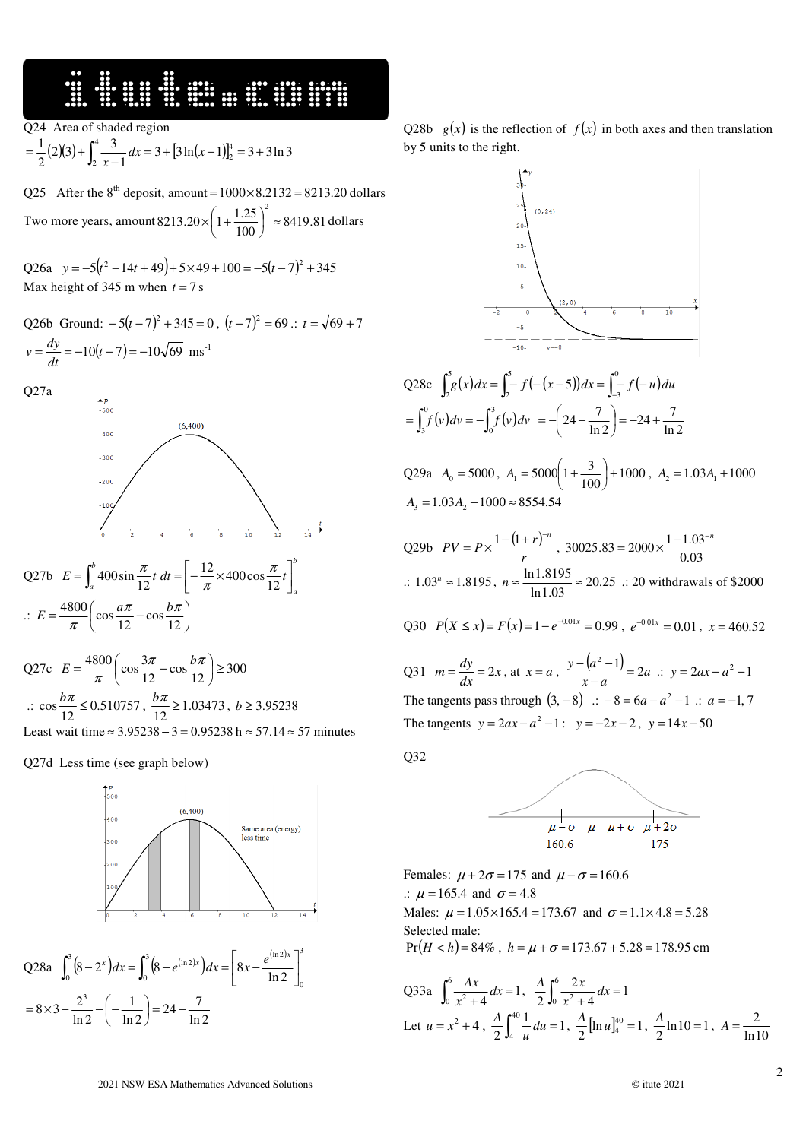## **WEBSTERN**

Q24 Area of shaded region

$$
= \frac{1}{2}(2)(3) + \int_{2}^{4} \frac{3}{x-1} dx = 3 + [3\ln(x-1)]_{2}^{4} = 3 + 3\ln 3
$$

Q25 After the  $8<sup>th</sup>$  deposit, amount =  $1000 \times 8.2132 = 8213.20$  dollars 2

Two more years, amount  $8213.20 \times \left(1 + \frac{1.25}{100}\right) \approx 8419.81$  $8213.20 \times \left(1 + \frac{1.25}{100}\right)$  ≈  $\left(1+\frac{1.25}{1.25}\right)$ l  $\times \left(1 + \frac{1.25}{100}\right)^2 \approx 8419.81$  dollars

Q26a  $y = -5(t^2 - 14t + 49) + 5 \times 49 + 100 = -5(t - 7)^2 + 345$ Max height of 345 m when  $t = 7$  s

Q26b Ground:  $-5(t-7)^2 + 345 = 0$ ,  $(t-7)^2 = 69$ .:  $t = \sqrt{69} + 7$  $=\frac{dy}{dt} = -10(t-7) = -10\sqrt{69}$  $v = \frac{dy}{dt} = -10(t-7) = -10\sqrt{69}$  ms<sup>-1</sup>

Q27a



Q27b 
$$
E = \int_{a}^{b} 400 \sin \frac{\pi}{12} t dt = \left[ -\frac{12}{\pi} \times 400 \cos \frac{\pi}{12} t \right]_{a}^{b}
$$
  
 $\therefore E = \frac{4800}{\pi} \left( \cos \frac{a\pi}{12} - \cos \frac{b\pi}{12} \right)$ 

Q27c 
$$
E = \frac{4800}{\pi} \left( \cos \frac{3\pi}{12} - \cos \frac{b\pi}{12} \right) \ge 300
$$
  
\n $\therefore \cos \frac{b\pi}{12} \le 0.510757, \frac{b\pi}{12} \ge 1.03473, b \ge 3.95238$   
\nLeast wait time  $\approx 3.95238 - 3 = 0.95238$  h  $\approx 57.14 \approx 57$  minutes

Q27d Less time (see graph below)

ln 2

l



Q28a  $\int_{0}^{3} (8-2^{x}) dx = \int_{0}^{3} (8-e^{(\ln 2)x}) dx = \left[ 8x - \frac{e^{(\ln 2)x}}{\ln 2} \right]^{3}$  $\mathbf{0}$  $\boldsymbol{0}$  $\int_{0}^{3} (8-x^{2}) dx = \int_{0}^{3} (8-x^{2}) dx$  $\int_0^{\infty} (8-2^x)dx = \int_0^{\infty} (8-e^{(\ln 2)x})dx = \left[ 8x - \frac{e^{(\ln 2)x}}{\ln 2} \right]$  $\overline{\phantom{a}}$  $\int_0^3 (8-2^x) dx = \int_0^3 (8-e^{(\ln 2)x}) dx = \left| 8x - \frac{e^{(\ln 2)x}}{\ln 2} \right|^5$  $\left(\frac{1}{\ln 2}\right)$  = 24 –  $\frac{7}{\ln 2}$ 1  $8 \times 3 - \frac{2^3}{\ln 2} - \left(-\frac{1}{\ln 2}\right) = 24 \left(-\frac{1}{\cdots}\right)$  $= 8 \times 3 - \frac{2^3}{1 \cdot 2} - \left(-\frac{2^3}{1 \cdot 2^3}\right)$ 

Q28b  $g(x)$  is the reflection of  $f(x)$  in both axes and then translation by 5 units to the right.



Q28c 
$$
\int_2^5 g(x) dx = \int_2^5 - f(- (x - 5)) dx = \int_{-3}^0 f(- u) du
$$
  
=  $\int_3^0 f(v) dv = -\int_0^3 f(v) dv = -\left(24 - \frac{7}{\ln 2}\right) = -24 + \frac{7}{\ln 2}$ 

Q29a  $A_0 = 5000$ ,  $A_1 = 5000 \left(1 + \frac{3}{100}\right) + 1000$  $n_1 = 5000 \left( 1 + \frac{3}{100} \right) +$  $\left(1+\frac{3}{100}\right)$ l  $A_1 = 5000\left(1 + \frac{3}{100}\right) + 1000$ ,  $A_2 = 1.03A_1 + 1000$  $A_3 = 1.03A_2 + 1000 \approx 8554.54$ 

Q29b 
$$
PV = P \times \frac{1 - (1 + r)^{-n}}{r}
$$
, 30025.83 = 2000 ×  $\frac{1 - 1.03^{-n}}{0.03}$   
∴ 1.03<sup>n</sup> ≈ 1.8195,  $n \approx \frac{\ln 1.8195}{\ln 1.03} \approx 20.25$  ∴ 20 without a width of \$2000

Q30 
$$
P(X \le x) = F(x) = 1 - e^{-0.01x} = 0.99
$$
,  $e^{-0.01x} = 0.01$ ,  $x = 460.52$ 

Q31 
$$
m = \frac{dy}{dx} = 2x
$$
, at  $x = a$ ,  $\frac{y - (a^2 - 1)}{x - a} = 2a$   $\therefore$   $y = 2ax - a^2 - 1$   
The tangents pass through  $(3, -8)$   $\therefore -8 = 6a - a^2 - 1$   $\therefore$   $a = -1, 7$   
The tangents  $y = 2ax - a^2 - 1$   $\therefore$   $y = -2x - 2$ ,  $y = 14x - 50$ 

Q32

 $\overline{a}$ 



Females:  $\mu + 2\sigma = 175$  and  $\mu - \sigma = 160.6$ .:  $\mu = 165.4$  and  $\sigma = 4.8$ Males:  $\mu = 1.05 \times 165.4 = 173.67$  and  $\sigma = 1.1 \times 4.8 = 5.28$ Selected male:  $Pr(H < h) = 84\%$ ,  $h = \mu + \sigma = 173.67 + 5.28 = 178.95$  cm

Q33a 
$$
\int_0^6 \frac{Ax}{x^2 + 4} dx = 1
$$
,  $\frac{A}{2} \int_0^6 \frac{2x}{x^2 + 4} dx = 1$   
Let  $u = x^2 + 4$ ,  $\frac{A}{2} \int_4^{40} \frac{1}{u} du = 1$ ,  $\frac{A}{2} [\ln u]_4^{40} = 1$ ,  $\frac{A}{2} \ln 10 = 1$ ,  $A = \frac{2}{\ln 10}$ 

ln 2